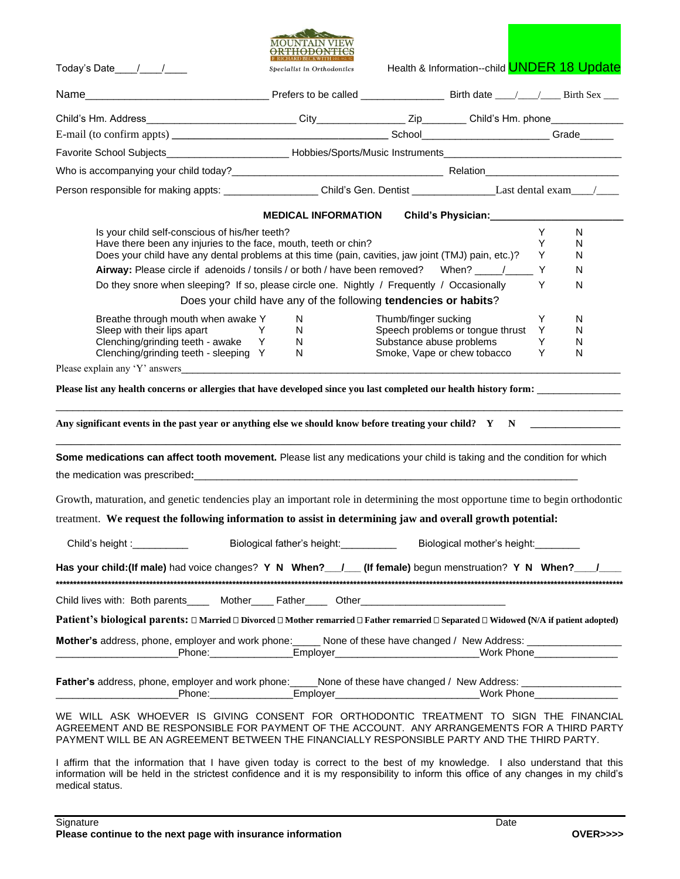|                                                                                                                                                                                                                                                                                                                                                                          | <b>MOUNTAIN VIET</b><br>ORTHODONTIC                             |                      |                                                                                                                                                                                                                                        |        |        |
|--------------------------------------------------------------------------------------------------------------------------------------------------------------------------------------------------------------------------------------------------------------------------------------------------------------------------------------------------------------------------|-----------------------------------------------------------------|----------------------|----------------------------------------------------------------------------------------------------------------------------------------------------------------------------------------------------------------------------------------|--------|--------|
| Today's Date $\frac{1}{\sqrt{1-\frac{1}{2}}}$                                                                                                                                                                                                                                                                                                                            | Specialist in Orthodontics                                      |                      | Health & Information--child <b>UNDER 18 Update</b>                                                                                                                                                                                     |        |        |
|                                                                                                                                                                                                                                                                                                                                                                          |                                                                 |                      |                                                                                                                                                                                                                                        |        |        |
|                                                                                                                                                                                                                                                                                                                                                                          |                                                                 |                      |                                                                                                                                                                                                                                        |        |        |
|                                                                                                                                                                                                                                                                                                                                                                          |                                                                 |                      |                                                                                                                                                                                                                                        |        |        |
| Favorite School Subjects_______________________________Hobbies/Sports/Music Instruments_____________________________                                                                                                                                                                                                                                                     |                                                                 |                      |                                                                                                                                                                                                                                        |        |        |
| Who is accompanying your child today?<br><u> Letting and the second of the second of the second of the second of the second of the second of the second of the second of the second of the second of the second of the second of t</u>                                                                                                                                   |                                                                 |                      |                                                                                                                                                                                                                                        |        |        |
| Person responsible for making appts: ______________________Child's Gen. Dentist __________________Last dental exam____/_____                                                                                                                                                                                                                                             |                                                                 |                      |                                                                                                                                                                                                                                        |        |        |
|                                                                                                                                                                                                                                                                                                                                                                          | <b>MEDICAL INFORMATION</b>                                      |                      | Child's Physician:<br><u>Letting and the set of the set of the set of the set of the set of the set of the set of the set of the set of the set of the set of the set of the set of the set of the set of the set of the set of th</u> |        |        |
| Is your child self-conscious of his/her teeth?                                                                                                                                                                                                                                                                                                                           |                                                                 |                      |                                                                                                                                                                                                                                        | Y      | N.     |
| Have there been any injuries to the face, mouth, teeth or chin?                                                                                                                                                                                                                                                                                                          |                                                                 |                      |                                                                                                                                                                                                                                        | Y      | N      |
| Does your child have any dental problems at this time (pain, cavities, jaw joint (TMJ) pain, etc.)?<br>Airway: Please circle if adenoids / tonsils / or both / have been removed? When? _____/_____ Y                                                                                                                                                                    |                                                                 |                      |                                                                                                                                                                                                                                        | Y      | N<br>N |
| Do they snore when sleeping? If so, please circle one. Nightly / Frequently / Occasionally                                                                                                                                                                                                                                                                               |                                                                 |                      |                                                                                                                                                                                                                                        | Y      | N      |
|                                                                                                                                                                                                                                                                                                                                                                          | Does your child have any of the following tendencies or habits? |                      |                                                                                                                                                                                                                                        |        |        |
| Breathe through mouth when awake Y                                                                                                                                                                                                                                                                                                                                       | N                                                               | Thumb/finger sucking |                                                                                                                                                                                                                                        | Y      | N      |
| Sleep with their lips apart<br><b>Example 19</b>                                                                                                                                                                                                                                                                                                                         | N.                                                              |                      | Speech problems or tongue thrust Y                                                                                                                                                                                                     |        | N      |
| Clenching/grinding teeth - awake Y<br>Clenching/grinding teeth - sleeping Y                                                                                                                                                                                                                                                                                              | N<br>N                                                          |                      | Substance abuse problems<br>Smoke, Vape or chew tobacco                                                                                                                                                                                | Y<br>Y | N<br>N |
|                                                                                                                                                                                                                                                                                                                                                                          |                                                                 |                      |                                                                                                                                                                                                                                        |        |        |
| Please list any health concerns or allergies that have developed since you last completed our health history form:                                                                                                                                                                                                                                                       |                                                                 |                      |                                                                                                                                                                                                                                        |        |        |
| Any significant events in the past year or anything else we should know before treating your child? $Y \ N$<br>Some medications can affect tooth movement. Please list any medications your child is taking and the condition for which<br>Growth, maturation, and genetic tendencies play an important role in determining the most opportune time to begin orthodontic |                                                                 |                      |                                                                                                                                                                                                                                        |        |        |
| treatment. We request the following information to assist in determining jaw and overall growth potential:                                                                                                                                                                                                                                                               |                                                                 |                      |                                                                                                                                                                                                                                        |        |        |
|                                                                                                                                                                                                                                                                                                                                                                          |                                                                 |                      |                                                                                                                                                                                                                                        |        |        |
| Child's height : _______________ Biological father's height: ___________                                                                                                                                                                                                                                                                                                 |                                                                 |                      |                                                                                                                                                                                                                                        |        |        |
| Has your child: (If male) had voice changes? Y N When? __/ (If female) begun menstruation? Y N When? __/ __                                                                                                                                                                                                                                                              |                                                                 |                      |                                                                                                                                                                                                                                        |        |        |
| Child lives with: Both parents_____ Mother____ Father_____ Other_________________                                                                                                                                                                                                                                                                                        |                                                                 |                      |                                                                                                                                                                                                                                        |        |        |
| Patient's biological parents: □ Married □ Divorced □ Mother remarried □ Father remarried □ Separated □ Widowed (N/A if patient adopted)                                                                                                                                                                                                                                  |                                                                 |                      |                                                                                                                                                                                                                                        |        |        |
| Mother's address, phone, employer and work phone: None of these have changed / New Address: _________________                                                                                                                                                                                                                                                            |                                                                 |                      |                                                                                                                                                                                                                                        |        |        |
|                                                                                                                                                                                                                                                                                                                                                                          |                                                                 |                      |                                                                                                                                                                                                                                        |        |        |
| WE WILL ASK WHOEVER IS GIVING CONSENT FOR ORTHODONTIC TREATMENT TO SIGN THE FINANCIAL<br>AGREEMENT AND BE RESPONSIBLE FOR PAYMENT OF THE ACCOUNT. ANY ARRANGEMENTS FOR A THIRD PARTY<br>PAYMENT WILL BE AN AGREEMENT BETWEEN THE FINANCIALLY RESPONSIBLE PARTY AND THE THIRD PARTY.                                                                                      |                                                                 |                      |                                                                                                                                                                                                                                        |        |        |

I affirm that the information that I have given today is correct to the best of my knowledge. I also understand that this information will be held in the strictest confidence and it is my responsibility to inform this office of any changes in my child's medical status.